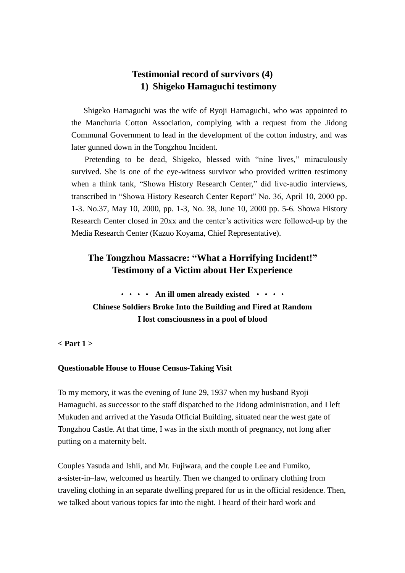# **Testimonial record of survivors (4) 1) Shigeko Hamaguchi testimony**

Shigeko Hamaguchi was the wife of Ryoji Hamaguchi, who was appointed to the Manchuria Cotton Association, complying with a request from the Jidong Communal Government to lead in the development of the cotton industry, and was later gunned down in the Tongzhou Incident.

Pretending to be dead, Shigeko, blessed with "nine lives," miraculously survived. She is one of the eye-witness survivor who provided written testimony when a think tank, "Showa History Research Center," did live-audio interviews, transcribed in "Showa History Research Center Report" No. 36, April 10, 2000 pp. 1-3. No.37, May 10, 2000, pp. 1-3, No. 38, June 10, 2000 pp. 5-6. Showa History Research Center closed in 20xx and the center's activities were followed-up by the Media Research Center (Kazuo Koyama, Chief Representative).

# **The Tongzhou Massacre: "What a Horrifying Incident!" Testimony of a Victim about Her Experience**

・・・・ **An ill omen already existed** ・・・・ **Chinese Soldiers Broke Into the Building and Fired at Random I lost consciousness in a pool of blood**

**< Part 1 >**

#### **Questionable House to House Census-Taking Visit**

To my memory, it was the evening of June 29, 1937 when my husband Ryoji Hamaguchi. as successor to the staff dispatched to the Jidong administration, and I left Mukuden and arrived at the Yasuda Official Building, situated near the west gate of Tongzhou Castle. At that time, I was in the sixth month of pregnancy, not long after putting on a maternity belt.

Couples Yasuda and Ishii, and Mr. Fujiwara, and the couple Lee and Fumiko, a-sister-in–law, welcomed us heartily. Then we changed to ordinary clothing from traveling clothing in an separate dwelling prepared for us in the official residence. Then, we talked about various topics far into the night. I heard of their hard work and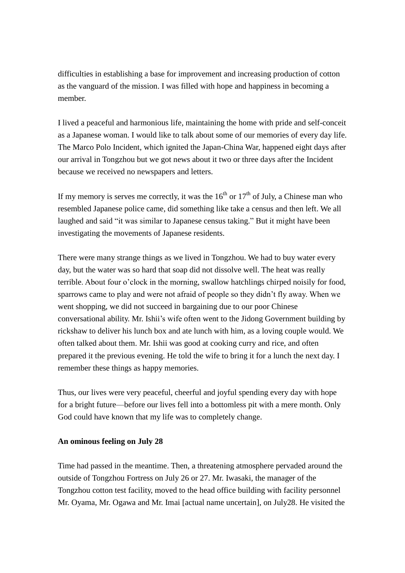difficulties in establishing a base for improvement and increasing production of cotton as the vanguard of the mission. I was filled with hope and happiness in becoming a member.

I lived a peaceful and harmonious life, maintaining the home with pride and self-conceit as a Japanese woman. I would like to talk about some of our memories of every day life. The Marco Polo Incident, which ignited the Japan-China War, happened eight days after our arrival in Tongzhou but we got news about it two or three days after the Incident because we received no newspapers and letters.

If my memory is serves me correctly, it was the  $16<sup>th</sup>$  or  $17<sup>th</sup>$  of July, a Chinese man who resembled Japanese police came, did something like take a census and then left. We all laughed and said "it was similar to Japanese census taking." But it might have been investigating the movements of Japanese residents.

There were many strange things as we lived in Tongzhou. We had to buy water every day, but the water was so hard that soap did not dissolve well. The heat was really terrible. About four o'clock in the morning, swallow hatchlings chirped noisily for food, sparrows came to play and were not afraid of people so they didn't fly away. When we went shopping, we did not succeed in bargaining due to our poor Chinese conversational ability. Mr. Ishii's wife often went to the Jidong Government building by rickshaw to deliver his lunch box and ate lunch with him, as a loving couple would. We often talked about them. Mr. Ishii was good at cooking curry and rice, and often prepared it the previous evening. He told the wife to bring it for a lunch the next day. I remember these things as happy memories.

Thus, our lives were very peaceful, cheerful and joyful spending every day with hope for a bright future—before our lives fell into a bottomless pit with a mere month. Only God could have known that my life was to completely change.

#### **An ominous feeling on July 28**

Time had passed in the meantime. Then, a threatening atmosphere pervaded around the outside of Tongzhou Fortress on July 26 or 27. Mr. Iwasaki, the manager of the Tongzhou cotton test facility, moved to the head office building with facility personnel Mr. Oyama, Mr. Ogawa and Mr. Imai [actual name uncertain], on July28. He visited the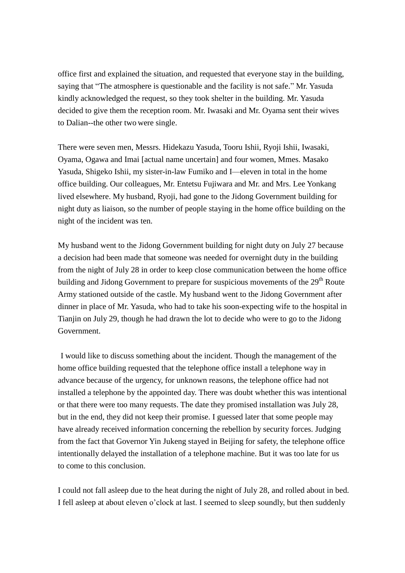office first and explained the situation, and requested that everyone stay in the building, saying that "The atmosphere is questionable and the facility is not safe." Mr. Yasuda kindly acknowledged the request, so they took shelter in the building. Mr. Yasuda decided to give them the reception room. Mr. Iwasaki and Mr. Oyama sent their wives to Dalian--the other two were single.

There were seven men, Messrs. Hidekazu Yasuda, Tooru Ishii, Ryoji Ishii, Iwasaki, Oyama, Ogawa and Imai [actual name uncertain] and four women, Mmes. Masako Yasuda, Shigeko Ishii, my sister-in-law Fumiko and I—eleven in total in the home office building. Our colleagues, Mr. Entetsu Fujiwara and Mr. and Mrs. Lee Yonkang lived elsewhere. My husband, Ryoji, had gone to the Jidong Government building for night duty as liaison, so the number of people staying in the home office building on the night of the incident was ten.

My husband went to the Jidong Government building for night duty on July 27 because a decision had been made that someone was needed for overnight duty in the building from the night of July 28 in order to keep close communication between the home office building and Jidong Government to prepare for suspicious movements of the 29<sup>th</sup> Route Army stationed outside of the castle. My husband went to the Jidong Government after dinner in place of Mr. Yasuda, who had to take his soon-expecting wife to the hospital in Tianjin on July 29, though he had drawn the lot to decide who were to go to the Jidong Government.

I would like to discuss something about the incident. Though the management of the home office building requested that the telephone office install a telephone way in advance because of the urgency, for unknown reasons, the telephone office had not installed a telephone by the appointed day. There was doubt whether this was intentional or that there were too many requests. The date they promised installation was July 28, but in the end, they did not keep their promise. I guessed later that some people may have already received information concerning the rebellion by security forces. Judging from the fact that Governor Yin Jukeng stayed in Beijing for safety, the telephone office intentionally delayed the installation of a telephone machine. But it was too late for us to come to this conclusion.

I could not fall asleep due to the heat during the night of July 28, and rolled about in bed. I fell asleep at about eleven o'clock at last. I seemed to sleep soundly, but then suddenly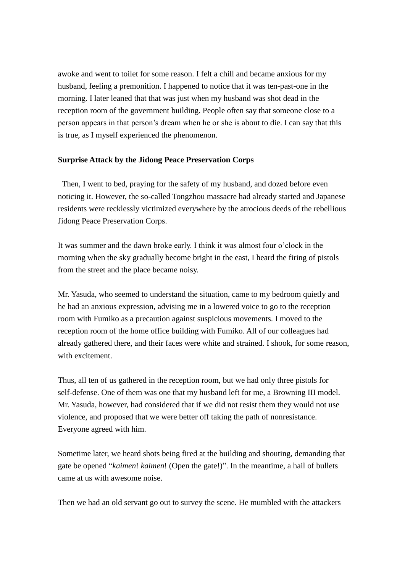awoke and went to toilet for some reason. I felt a chill and became anxious for my husband, feeling a premonition. I happened to notice that it was ten-past-one in the morning. I later leaned that that was just when my husband was shot dead in the reception room of the government building. People often say that someone close to a person appears in that person's dream when he or she is about to die. I can say that this is true, as I myself experienced the phenomenon.

#### **Surprise Attack by the Jidong Peace Preservation Corps**

Then, I went to bed, praying for the safety of my husband, and dozed before even noticing it. However, the so-called Tongzhou massacre had already started and Japanese residents were recklessly victimized everywhere by the atrocious deeds of the rebellious Jidong Peace Preservation Corps.

It was summer and the dawn broke early. I think it was almost four o'clock in the morning when the sky gradually become bright in the east, I heard the firing of pistols from the street and the place became noisy.

Mr. Yasuda, who seemed to understand the situation, came to my bedroom quietly and he had an anxious expression, advising me in a lowered voice to go to the reception room with Fumiko as a precaution against suspicious movements. I moved to the reception room of the home office building with Fumiko. All of our colleagues had already gathered there, and their faces were white and strained. I shook, for some reason, with excitement.

Thus, all ten of us gathered in the reception room, but we had only three pistols for self-defense. One of them was one that my husband left for me, a Browning III model. Mr. Yasuda, however, had considered that if we did not resist them they would not use violence, and proposed that we were better off taking the path of nonresistance. Everyone agreed with him.

Sometime later, we heard shots being fired at the building and shouting, demanding that gate be opened "*kaimen*! *kaimen*! (Open the gate!)". In the meantime, a hail of bullets came at us with awesome noise.

Then we had an old servant go out to survey the scene. He mumbled with the attackers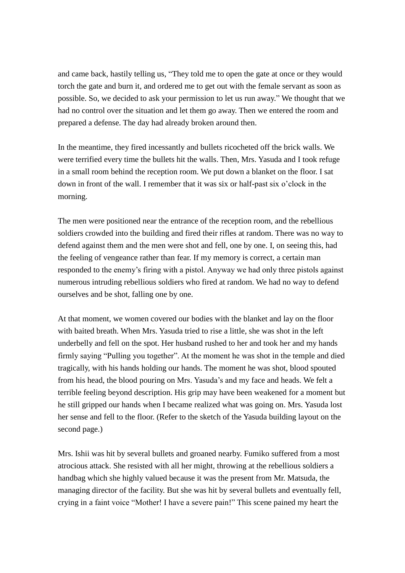and came back, hastily telling us, "They told me to open the gate at once or they would torch the gate and burn it, and ordered me to get out with the female servant as soon as possible. So, we decided to ask your permission to let us run away." We thought that we had no control over the situation and let them go away. Then we entered the room and prepared a defense. The day had already broken around then.

In the meantime, they fired incessantly and bullets ricocheted off the brick walls. We were terrified every time the bullets hit the walls. Then, Mrs. Yasuda and I took refuge in a small room behind the reception room. We put down a blanket on the floor. I sat down in front of the wall. I remember that it was six or half-past six o'clock in the morning.

The men were positioned near the entrance of the reception room, and the rebellious soldiers crowded into the building and fired their rifles at random. There was no way to defend against them and the men were shot and fell, one by one. I, on seeing this, had the feeling of vengeance rather than fear. If my memory is correct, a certain man responded to the enemy's firing with a pistol. Anyway we had only three pistols against numerous intruding rebellious soldiers who fired at random. We had no way to defend ourselves and be shot, falling one by one.

At that moment, we women covered our bodies with the blanket and lay on the floor with baited breath. When Mrs. Yasuda tried to rise a little, she was shot in the left underbelly and fell on the spot. Her husband rushed to her and took her and my hands firmly saying "Pulling you together". At the moment he was shot in the temple and died tragically, with his hands holding our hands. The moment he was shot, blood spouted from his head, the blood pouring on Mrs. Yasuda's and my face and heads. We felt a terrible feeling beyond description. His grip may have been weakened for a moment but he still gripped our hands when I became realized what was going on. Mrs. Yasuda lost her sense and fell to the floor. (Refer to the sketch of the Yasuda building layout on the second page.)

Mrs. Ishii was hit by several bullets and groaned nearby. Fumiko suffered from a most atrocious attack. She resisted with all her might, throwing at the rebellious soldiers a handbag which she highly valued because it was the present from Mr. Matsuda, the managing director of the facility. But she was hit by several bullets and eventually fell, crying in a faint voice "Mother! I have a severe pain!" This scene pained my heart the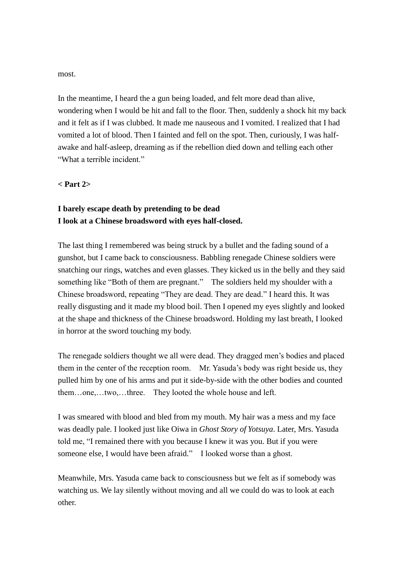most.

In the meantime, I heard the a gun being loaded, and felt more dead than alive, wondering when I would be hit and fall to the floor. Then, suddenly a shock hit my back and it felt as if I was clubbed. It made me nauseous and I vomited. I realized that I had vomited a lot of blood. Then I fainted and fell on the spot. Then, curiously, I was halfawake and half-asleep, dreaming as if the rebellion died down and telling each other "What a terrible incident."

**< Part 2>**

## **I barely escape death by pretending to be dead I look at a Chinese broadsword with eyes half-closed.**

The last thing I remembered was being struck by a bullet and the fading sound of a gunshot, but I came back to consciousness. Babbling renegade Chinese soldiers were snatching our rings, watches and even glasses. They kicked us in the belly and they said something like "Both of them are pregnant." The soldiers held my shoulder with a Chinese broadsword, repeating "They are dead. They are dead." I heard this. It was really disgusting and it made my blood boil. Then I opened my eyes slightly and looked at the shape and thickness of the Chinese broadsword. Holding my last breath, I looked in horror at the sword touching my body.

The renegade soldiers thought we all were dead. They dragged men's bodies and placed them in the center of the reception room. Mr. Yasuda's body was right beside us, they pulled him by one of his arms and put it side-by-side with the other bodies and counted them…one,…two,…three. They looted the whole house and left.

I was smeared with blood and bled from my mouth. My hair was a mess and my face was deadly pale. I looked just like Oiwa in *Ghost Story of Yotsuya*. Later, Mrs. Yasuda told me, "I remained there with you because I knew it was you. But if you were someone else, I would have been afraid." I looked worse than a ghost.

Meanwhile, Mrs. Yasuda came back to consciousness but we felt as if somebody was watching us. We lay silently without moving and all we could do was to look at each other.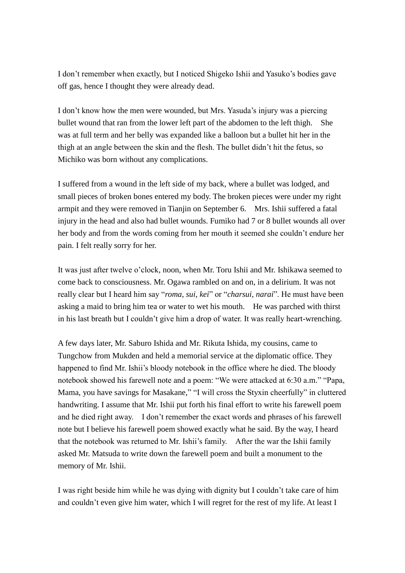I don't remember when exactly, but I noticed Shigeko Ishii and Yasuko's bodies gave off gas, hence I thought they were already dead.

I don't know how the men were wounded, but Mrs. Yasuda's injury was a piercing bullet wound that ran from the lower left part of the abdomen to the left thigh. She was at full term and her belly was expanded like a balloon but a bullet hit her in the thigh at an angle between the skin and the flesh. The bullet didn't hit the fetus, so Michiko was born without any complications.

I suffered from a wound in the left side of my back, where a bullet was lodged, and small pieces of broken bones entered my body. The broken pieces were under my right armpit and they were removed in Tianjin on September 6. Mrs. Ishii suffered a fatal injury in the head and also had bullet wounds. Fumiko had 7 or 8 bullet wounds all over her body and from the words coming from her mouth it seemed she couldn't endure her pain. I felt really sorry for her.

It was just after twelve o'clock, noon, when Mr. Toru Ishii and Mr. Ishikawa seemed to come back to consciousness. Mr. Ogawa rambled on and on, in a delirium. It was not really clear but I heard him say "*roma*, *sui*, *kei*" or "*charsui*, *narai*". He must have been asking a maid to bring him tea or water to wet his mouth. He was parched with thirst in his last breath but I couldn't give him a drop of water. It was really heart-wrenching.

A few days later, Mr. Saburo Ishida and Mr. Rikuta Ishida, my cousins, came to Tungchow from Mukden and held a memorial service at the diplomatic office. They happened to find Mr. Ishii's bloody notebook in the office where he died. The bloody notebook showed his farewell note and a poem: "We were attacked at 6:30 a.m." "Papa, Mama, you have savings for Masakane," "I will cross the Styxin cheerfully" in cluttered handwriting. I assume that Mr. Ishii put forth his final effort to write his farewell poem and he died right away. I don't remember the exact words and phrases of his farewell note but I believe his farewell poem showed exactly what he said. By the way, I heard that the notebook was returned to Mr. Ishii's family. After the war the Ishii family asked Mr. Matsuda to write down the farewell poem and built a monument to the memory of Mr. Ishii.

I was right beside him while he was dying with dignity but I couldn't take care of him and couldn't even give him water, which I will regret for the rest of my life. At least I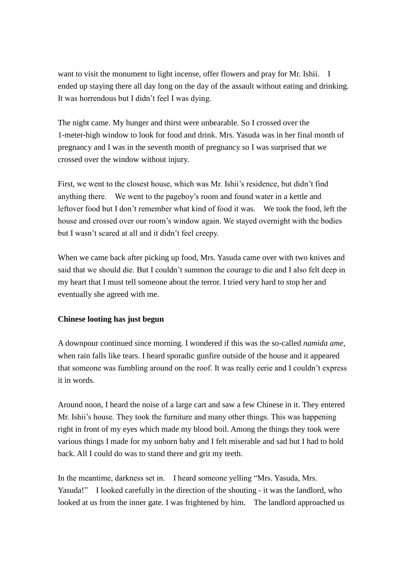want to visit the monument to light incense, offer flowers and pray for Mr. Ishii. I ended up staying there all day long on the day of the assault without eating and drinking. It was horrendous but I didn't feel I was dying.

The night came. My hunger and thirst were unbearable. So I crossed over the 1-meter-high window to look for food and drink. Mrs. Yasuda was in her final month of pregnancy and I was in the seventh month of pregnancy so I was surprised that we crossed over the window without injury.

First, we went to the closest house, which was Mr. Ishii's residence, but didn't find anything there. We went to the pageboy's room and found water in a kettle and leftover food but I don't remember what kind of food it was. We took the food, left the house and crossed over our room's window again. We stayed overnight with the bodies but I wasn't scared at all and it didn't feel creepy.

When we came back after picking up food, Mrs. Yasuda came over with two knives and said that we should die. But I couldn't summon the courage to die and I also felt deep in my heart that I must tell someone about the terror. I tried very hard to stop her and eventually she agreed with me.

## **Chinese looting has just begun**

A downpour continued since morning. I wondered if this was the so-called *namida ame*, when rain falls like tears. I heard sporadic gunfire outside of the house and it appeared that someone was fumbling around on the roof. It was really eerie and I couldn't express it in words.

Around noon, I heard the noise of a large cart and saw a few Chinese in it. They entered Mr. Ishii's house. They took the furniture and many other things. This was happening right in front of my eyes which made my blood boil. Among the things they took were various things I made for my unborn baby and I felt miserable and sad but I had to hold back. All I could do was to stand there and grit my teeth.

In the meantime, darkness set in. I heard someone yelling "Mrs. Yasuda, Mrs. Yasuda!" I looked carefully in the direction of the shouting - it was the landlord, who looked at us from the inner gate. I was frightened by him. The landlord approached us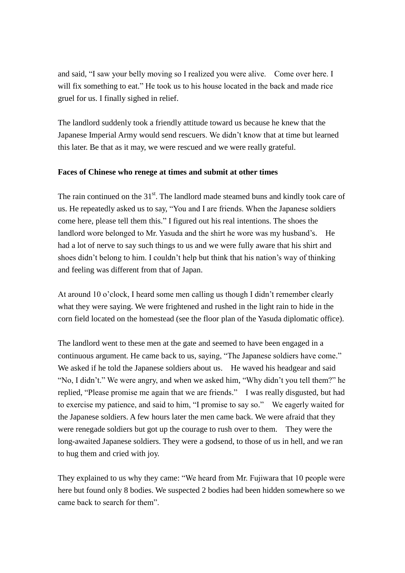and said, "I saw your belly moving so I realized you were alive. Come over here. I will fix something to eat." He took us to his house located in the back and made rice gruel for us. I finally sighed in relief.

The landlord suddenly took a friendly attitude toward us because he knew that the Japanese Imperial Army would send rescuers. We didn't know that at time but learned this later. Be that as it may, we were rescued and we were really grateful.

#### **Faces of Chinese who renege at times and submit at other times**

The rain continued on the  $31<sup>st</sup>$ . The landlord made steamed buns and kindly took care of us. He repeatedly asked us to say, "You and I are friends. When the Japanese soldiers come here, please tell them this." I figured out his real intentions. The shoes the landlord wore belonged to Mr. Yasuda and the shirt he wore was my husband's. He had a lot of nerve to say such things to us and we were fully aware that his shirt and shoes didn't belong to him. I couldn't help but think that his nation's way of thinking and feeling was different from that of Japan.

At around 10 o'clock, I heard some men calling us though I didn't remember clearly what they were saying. We were frightened and rushed in the light rain to hide in the corn field located on the homestead (see the floor plan of the Yasuda diplomatic office).

The landlord went to these men at the gate and seemed to have been engaged in a continuous argument. He came back to us, saying, "The Japanese soldiers have come." We asked if he told the Japanese soldiers about us. He waved his headgear and said "No, I didn't." We were angry, and when we asked him, "Why didn't you tell them?" he replied, "Please promise me again that we are friends." I was really disgusted, but had to exercise my patience, and said to him, "I promise to say so." We eagerly waited for the Japanese soldiers. A few hours later the men came back. We were afraid that they were renegade soldiers but got up the courage to rush over to them. They were the long-awaited Japanese soldiers. They were a godsend, to those of us in hell, and we ran to hug them and cried with joy.

They explained to us why they came: "We heard from Mr. Fujiwara that 10 people were here but found only 8 bodies. We suspected 2 bodies had been hidden somewhere so we came back to search for them".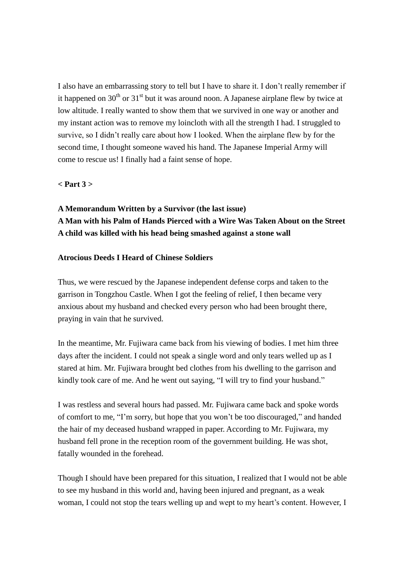I also have an embarrassing story to tell but I have to share it. I don't really remember if it happened on  $30<sup>th</sup>$  or  $31<sup>st</sup>$  but it was around noon. A Japanese airplane flew by twice at low altitude. I really wanted to show them that we survived in one way or another and my instant action was to remove my loincloth with all the strength I had. I struggled to survive, so I didn't really care about how I looked. When the airplane flew by for the second time, I thought someone waved his hand. The Japanese Imperial Army will come to rescue us! I finally had a faint sense of hope.

#### **< Part 3 >**

# **A Memorandum Written by a Survivor (the last issue) A Man with his Palm of Hands Pierced with a Wire Was Taken About on the Street A child was killed with his head being smashed against a stone wall**

#### **Atrocious Deeds I Heard of Chinese Soldiers**

Thus, we were rescued by the Japanese independent defense corps and taken to the garrison in Tongzhou Castle. When I got the feeling of relief, I then became very anxious about my husband and checked every person who had been brought there, praying in vain that he survived.

In the meantime, Mr. Fujiwara came back from his viewing of bodies. I met him three days after the incident. I could not speak a single word and only tears welled up as I stared at him. Mr. Fujiwara brought bed clothes from his dwelling to the garrison and kindly took care of me. And he went out saying, "I will try to find your husband."

I was restless and several hours had passed. Mr. Fujiwara came back and spoke words of comfort to me, "I'm sorry, but hope that you won't be too discouraged," and handed the hair of my deceased husband wrapped in paper. According to Mr. Fujiwara, my husband fell prone in the reception room of the government building. He was shot, fatally wounded in the forehead.

Though I should have been prepared for this situation, I realized that I would not be able to see my husband in this world and, having been injured and pregnant, as a weak woman, I could not stop the tears welling up and wept to my heart's content. However, I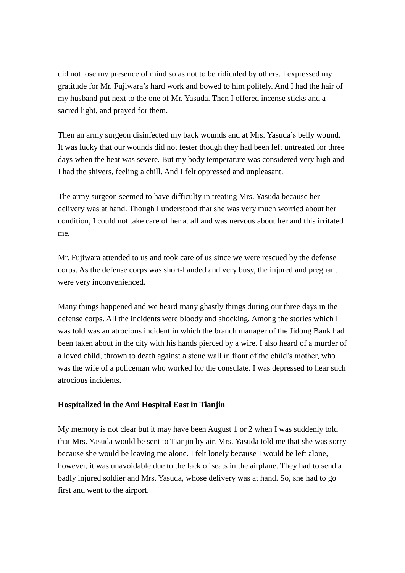did not lose my presence of mind so as not to be ridiculed by others. I expressed my gratitude for Mr. Fujiwara's hard work and bowed to him politely. And I had the hair of my husband put next to the one of Mr. Yasuda. Then I offered incense sticks and a sacred light, and prayed for them.

Then an army surgeon disinfected my back wounds and at Mrs. Yasuda's belly wound. It was lucky that our wounds did not fester though they had been left untreated for three days when the heat was severe. But my body temperature was considered very high and I had the shivers, feeling a chill. And I felt oppressed and unpleasant.

The army surgeon seemed to have difficulty in treating Mrs. Yasuda because her delivery was at hand. Though I understood that she was very much worried about her condition, I could not take care of her at all and was nervous about her and this irritated me.

Mr. Fujiwara attended to us and took care of us since we were rescued by the defense corps. As the defense corps was short-handed and very busy, the injured and pregnant were very inconvenienced.

Many things happened and we heard many ghastly things during our three days in the defense corps. All the incidents were bloody and shocking. Among the stories which I was told was an atrocious incident in which the branch manager of the Jidong Bank had been taken about in the city with his hands pierced by a wire. I also heard of a murder of a loved child, thrown to death against a stone wall in front of the child's mother, who was the wife of a policeman who worked for the consulate. I was depressed to hear such atrocious incidents.

#### **Hospitalized in the Ami Hospital East in Tianjin**

My memory is not clear but it may have been August 1 or 2 when I was suddenly told that Mrs. Yasuda would be sent to Tianjin by air. Mrs. Yasuda told me that she was sorry because she would be leaving me alone. I felt lonely because I would be left alone, however, it was unavoidable due to the lack of seats in the airplane. They had to send a badly injured soldier and Mrs. Yasuda, whose delivery was at hand. So, she had to go first and went to the airport.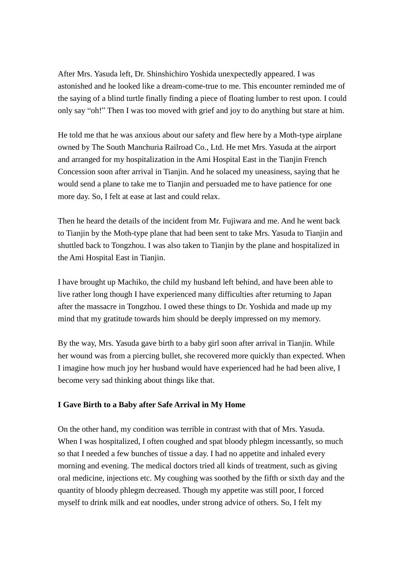After Mrs. Yasuda left, Dr. Shinshichiro Yoshida unexpectedly appeared. I was astonished and he looked like a dream-come-true to me. This encounter reminded me of the saying of a blind turtle finally finding a piece of floating lumber to rest upon. I could only say "oh!" Then I was too moved with grief and joy to do anything but stare at him.

He told me that he was anxious about our safety and flew here by a Moth-type airplane owned by The South Manchuria Railroad Co., Ltd. He met Mrs. Yasuda at the airport and arranged for my hospitalization in the Ami Hospital East in the Tianjin French Concession soon after arrival in Tianjin. And he solaced my uneasiness, saying that he would send a plane to take me to Tianjin and persuaded me to have patience for one more day. So, I felt at ease at last and could relax.

Then he heard the details of the incident from Mr. Fujiwara and me. And he went back to Tianjin by the Moth-type plane that had been sent to take Mrs. Yasuda to Tianjin and shuttled back to Tongzhou. I was also taken to Tianjin by the plane and hospitalized in the Ami Hospital East in Tianjin.

I have brought up Machiko, the child my husband left behind, and have been able to live rather long though I have experienced many difficulties after returning to Japan after the massacre in Tongzhou. I owed these things to Dr. Yoshida and made up my mind that my gratitude towards him should be deeply impressed on my memory.

By the way, Mrs. Yasuda gave birth to a baby girl soon after arrival in Tianjin. While her wound was from a piercing bullet, she recovered more quickly than expected. When I imagine how much joy her husband would have experienced had he had been alive, I become very sad thinking about things like that.

## **I Gave Birth to a Baby after Safe Arrival in My Home**

On the other hand, my condition was terrible in contrast with that of Mrs. Yasuda. When I was hospitalized, I often coughed and spat bloody phlegm incessantly, so much so that I needed a few bunches of tissue a day. I had no appetite and inhaled every morning and evening. The medical doctors tried all kinds of treatment, such as giving oral medicine, injections etc. My coughing was soothed by the fifth or sixth day and the quantity of bloody phlegm decreased. Though my appetite was still poor, I forced myself to drink milk and eat noodles, under strong advice of others. So, I felt my